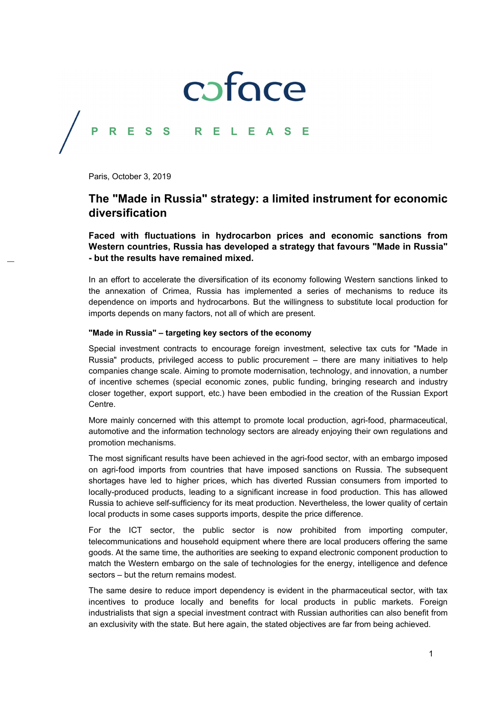## coface

## **PRESS RELEASE**

Paris, October 3, 2019

### **The "Made in Russia" strategy: a limited instrument for economic diversification**

**Faced with fluctuations in hydrocarbon prices and economic sanctions from Western countries, Russia has developed a strategy that favours "Made in Russia" - but the results have remained mixed.** 

In an effort to accelerate the diversification of its economy following Western sanctions linked to the annexation of Crimea, Russia has implemented a series of mechanisms to reduce its dependence on imports and hydrocarbons. But the willingness to substitute local production for imports depends on many factors, not all of which are present.

### **"Made in Russia" – targeting key sectors of the economy**

Special investment contracts to encourage foreign investment, selective tax cuts for "Made in Russia" products, privileged access to public procurement – there are many initiatives to help companies change scale. Aiming to promote modernisation, technology, and innovation, a number of incentive schemes (special economic zones, public funding, bringing research and industry closer together, export support, etc.) have been embodied in the creation of the Russian Export Centre.

More mainly concerned with this attempt to promote local production, agri-food, pharmaceutical, automotive and the information technology sectors are already enjoying their own regulations and promotion mechanisms.

The most significant results have been achieved in the agri-food sector, with an embargo imposed on agri-food imports from countries that have imposed sanctions on Russia. The subsequent shortages have led to higher prices, which has diverted Russian consumers from imported to locally-produced products, leading to a significant increase in food production. This has allowed Russia to achieve self-sufficiency for its meat production. Nevertheless, the lower quality of certain local products in some cases supports imports, despite the price difference.

For the ICT sector, the public sector is now prohibited from importing computer, telecommunications and household equipment where there are local producers offering the same goods. At the same time, the authorities are seeking to expand electronic component production to match the Western embargo on the sale of technologies for the energy, intelligence and defence sectors – but the return remains modest.

The same desire to reduce import dependency is evident in the pharmaceutical sector, with tax incentives to produce locally and benefits for local products in public markets. Foreign industrialists that sign a special investment contract with Russian authorities can also benefit from an exclusivity with the state. But here again, the stated objectives are far from being achieved.